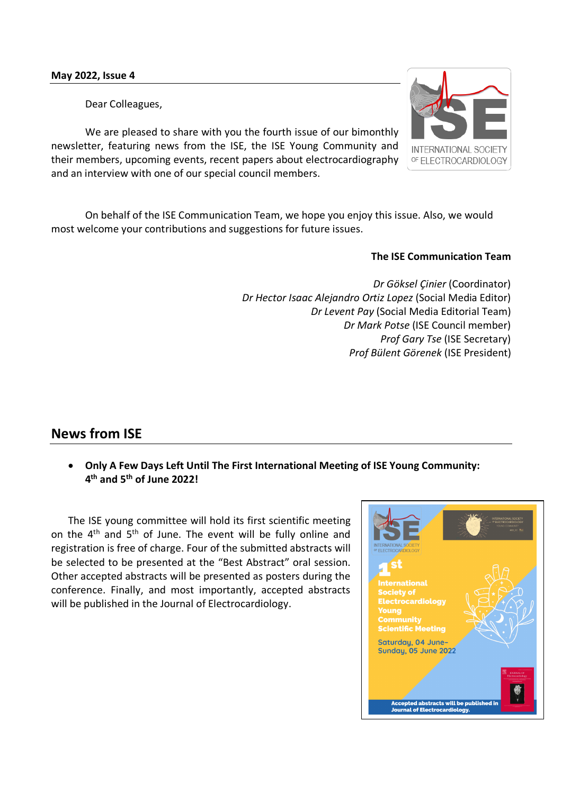Dear Colleagues,

We are pleased to share with you the fourth issue of our bimonthly newsletter, featuring news from the ISE, the ISE Young Community and their members, upcoming events, recent papers about electrocardiography and an interview with one of our special council members.

On behalf of the ISE Communication Team, we hope you enjoy this issue. Also, we would most welcome your contributions and suggestions for future issues.

## **The ISE Communication Team**

*Dr Göksel Çinier* (Coordinator) *Dr Hector Isaac Alejandro Ortiz Lopez* (Social Media Editor) *Dr Levent Pay* (Social Media Editorial Team) *Dr Mark Potse* (ISE Council member) *Prof Gary Tse* (ISE Secretary) *Prof Bülent Görenek* (ISE President)

# **News from ISE**

• **Only A Few Days Left Until The First International Meeting of ISE Young Community: 4th and 5th of June 2022!**

The ISE young committee will hold its first scientific meeting on the 4th and 5th of June. The event will be fully online and registration is free of charge. Four of the submitted abstracts will be selected to be presented at the "Best Abstract" oral session. Other accepted abstracts will be presented as posters during the conference. Finally, and most importantly, accepted abstracts will be published in the Journal of Electrocardiology.



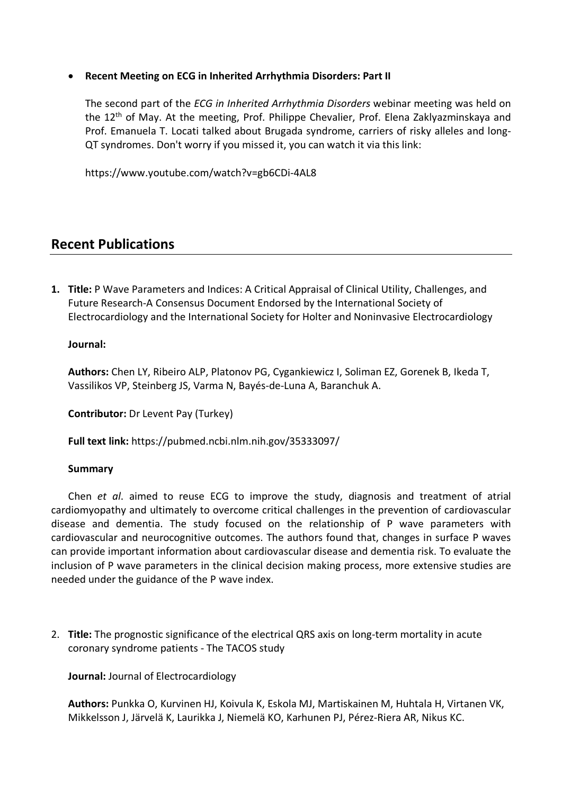• **Recent Meeting on ECG in Inherited Arrhythmia Disorders: Part II**

The second part of the *ECG in Inherited Arrhythmia Disorders* webinar meeting was held on the 12<sup>th</sup> of May. At the meeting, Prof. Philippe Chevalier, Prof. Elena Zaklyazminskaya and Prof. Emanuela T. Locati talked about Brugada syndrome, carriers of risky alleles and long-QT syndromes. Don't worry if you missed it, you can watch it via this link:

https://www.youtube.com/watch?v=gb6CDi-4AL8

# **Recent Publications**

**1. Title:** P Wave Parameters and Indices: A Critical Appraisal of Clinical Utility, Challenges, and Future Research-A Consensus Document Endorsed by the International Society of Electrocardiology and the International Society for Holter and Noninvasive Electrocardiology

## **Journal:**

**Authors:** Chen LY, Ribeiro ALP, Platonov PG, Cygankiewicz I, Soliman EZ, Gorenek B, Ikeda T, Vassilikos VP, Steinberg JS, Varma N, Bayés-de-Luna A, Baranchuk A.

**Contributor:** Dr Levent Pay (Turkey)

**Full text link:** https://pubmed.ncbi.nlm.nih.gov/35333097/

#### **Summary**

Chen *et al*. aimed to reuse ECG to improve the study, diagnosis and treatment of atrial cardiomyopathy and ultimately to overcome critical challenges in the prevention of cardiovascular disease and dementia. The study focused on the relationship of P wave parameters with cardiovascular and neurocognitive outcomes. The authors found that, changes in surface P waves can provide important information about cardiovascular disease and dementia risk. To evaluate the inclusion of P wave parameters in the clinical decision making process, more extensive studies are needed under the guidance of the P wave index.

2. **Title:** The prognostic significance of the electrical QRS axis on long-term mortality in acute coronary syndrome patients - The TACOS study

**Journal:** Journal of Electrocardiology

**Authors:** Punkka O, Kurvinen HJ, Koivula K, Eskola MJ, Martiskainen M, Huhtala H, Virtanen VK, Mikkelsson J, Järvelä K, Laurikka J, Niemelä KO, Karhunen PJ, Pérez-Riera AR, Nikus KC.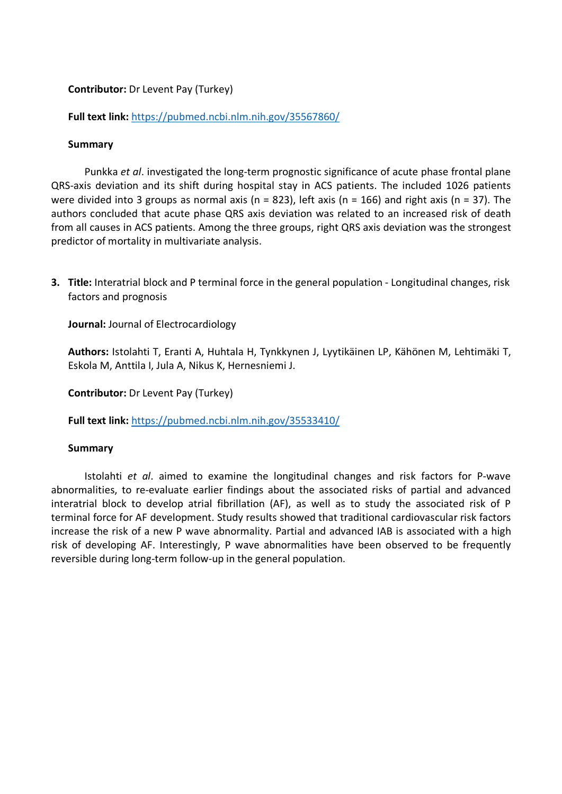## **Contributor:** Dr Levent Pay (Turkey)

**Full text link:** https://pubmed.ncbi.nlm.nih.gov/35567860/

#### **Summary**

Punkka *et al*. investigated the long-term prognostic significance of acute phase frontal plane QRS-axis deviation and its shift during hospital stay in ACS patients. The included 1026 patients were divided into 3 groups as normal axis (n = 823), left axis (n = 166) and right axis (n = 37). The authors concluded that acute phase QRS axis deviation was related to an increased risk of death from all causes in ACS patients. Among the three groups, right QRS axis deviation was the strongest predictor of mortality in multivariate analysis.

**3. Title:** Interatrial block and P terminal force in the general population - Longitudinal changes, risk factors and prognosis

**Journal:** Journal of Electrocardiology

**Authors:** Istolahti T, Eranti A, Huhtala H, Tynkkynen J, Lyytikäinen LP, Kähönen M, Lehtimäki T, Eskola M, Anttila I, Jula A, Nikus K, Hernesniemi J.

**Contributor:** Dr Levent Pay (Turkey)

**Full text link:** https://pubmed.ncbi.nlm.nih.gov/35533410/

#### **Summary**

Istolahti *et al*. aimed to examine the longitudinal changes and risk factors for P-wave abnormalities, to re-evaluate earlier findings about the associated risks of partial and advanced interatrial block to develop atrial fibrillation (AF), as well as to study the associated risk of P terminal force for AF development. Study results showed that traditional cardiovascular risk factors increase the risk of a new P wave abnormality. Partial and advanced IAB is associated with a high risk of developing AF. Interestingly, P wave abnormalities have been observed to be frequently reversible during long-term follow-up in the general population.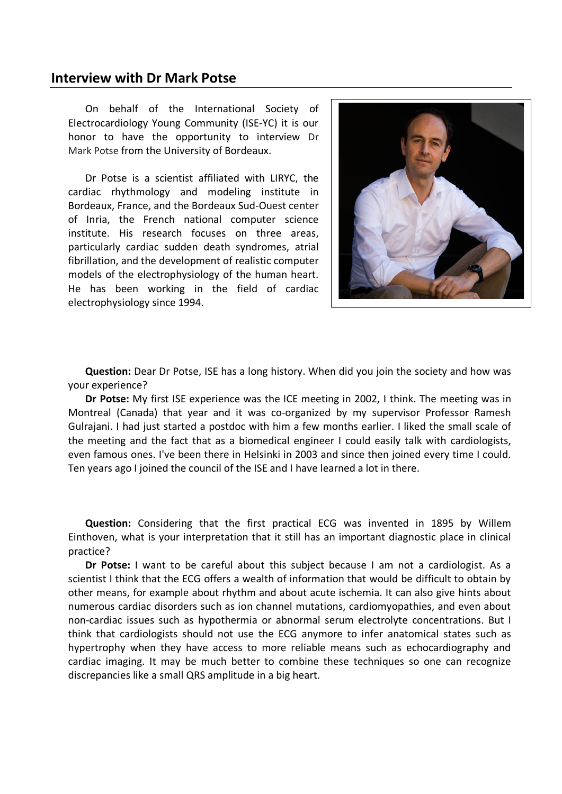# **Interview with Dr Mark Potse**

On behalf of the International Society of Electrocardiology Young Community (ISE-YC) it is our honor to have the opportunity to interview Dr Mark Potse from the University of Bordeaux.

Dr Potse is a scientist affiliated with LIRYC, the cardiac rhythmology and modeling institute in Bordeaux, France, and the Bordeaux Sud-Ouest center of Inria, the French national computer science institute. His research focuses on three areas, particularly cardiac sudden death syndromes, atrial fibrillation, and the development of realistic computer models of the electrophysiology of the human heart. He has been working in the field of cardiac electrophysiology since 1994.



**Question:** Dear Dr Potse, ISE has a long history. When did you join the society and how was your experience?

**Dr Potse:** My first ISE experience was the ICE meeting in 2002, I think. The meeting was in Montreal (Canada) that year and it was co-organized by my supervisor Professor Ramesh Gulrajani. I had just started a postdoc with him a few months earlier. I liked the small scale of the meeting and the fact that as a biomedical engineer I could easily talk with cardiologists, even famous ones. I've been there in Helsinki in 2003 and since then joined every time I could. Ten years ago I joined the council of the ISE and I have learned a lot in there.

**Question:** Considering that the first practical ECG was invented in 1895 by Willem Einthoven, what is your interpretation that it still has an important diagnostic place in clinical practice?

**Dr Potse:** I want to be careful about this subject because I am not a cardiologist. As a scientist I think that the ECG offers a wealth of information that would be difficult to obtain by other means, for example about rhythm and about acute ischemia. It can also give hints about numerous cardiac disorders such as ion channel mutations, cardiomyopathies, and even about non-cardiac issues such as hypothermia or abnormal serum electrolyte concentrations. But I think that cardiologists should not use the ECG anymore to infer anatomical states such as hypertrophy when they have access to more reliable means such as echocardiography and cardiac imaging. It may be much better to combine these techniques so one can recognize discrepancies like a small QRS amplitude in a big heart.